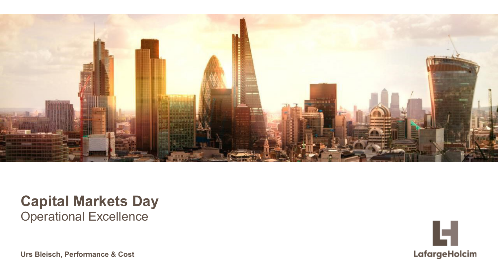

### **Capital Markets Day** Operational Excellence

**Urs Bleisch, Performance & Cost**

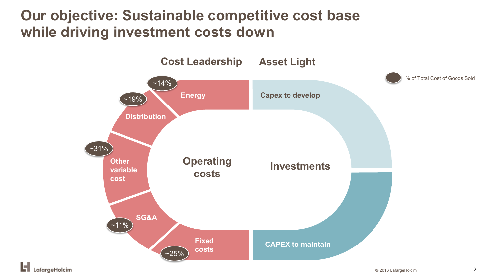### **Our objective: Sustainable competitive cost base while driving investment costs down**

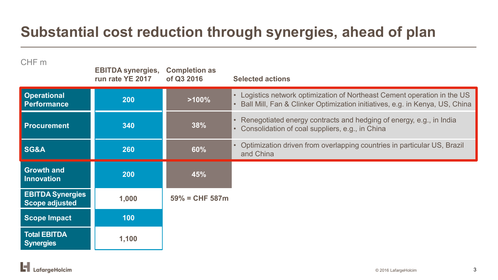# **Substantial cost reduction through synergies, ahead of plan**

| CHF m                                            | <b>EBITDA synergies,</b><br>run rate YE 2017 | <b>Completion as</b><br>of Q3 2016 | <b>Selected actions</b>                                                                                                                                   |
|--------------------------------------------------|----------------------------------------------|------------------------------------|-----------------------------------------------------------------------------------------------------------------------------------------------------------|
| <b>Operational</b><br><b>Performance</b>         | 200                                          | $>100\%$                           | • Logistics network optimization of Northeast Cement operation in the US<br>• Ball Mill, Fan & Clinker Optimization initiatives, e.g. in Kenya, US, China |
| <b>Procurement</b>                               | 340                                          | 38%                                | • Renegotiated energy contracts and hedging of energy, e.g., in India<br>• Consolidation of coal suppliers, e.g., in China                                |
| <b>SG&amp;A</b>                                  | 260                                          | 60%                                | Optimization driven from overlapping countries in particular US, Brazil<br>$\bullet$<br>and China                                                         |
| <b>Growth and</b><br><b>Innovation</b>           | 200                                          | 45%                                |                                                                                                                                                           |
| <b>EBITDA Synergies</b><br><b>Scope adjusted</b> | 1,000                                        | $59\% = CHF 587m$                  |                                                                                                                                                           |
| <b>Scope Impact</b>                              | 100                                          |                                    |                                                                                                                                                           |
| <b>Total EBITDA</b><br><b>Synergies</b>          | 1,100                                        |                                    |                                                                                                                                                           |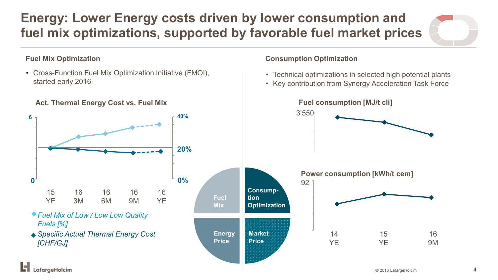### **Energy: Lower Energy costs driven by lower consumption and fuel mix optimizations, supported by favorable fuel market prices**

#### **Fuel Mix Optimization**

• Cross-Function Fuel Mix Optimization Initiative (FMOI), started early 2016

**Act. Thermal Energy Cost vs. Fuel Mix** 

**0% 20% 20% 40% 0 6 Fuel Mix Consumption Optimization Energy Price Market Price** *Specific Actual Thermal Energy Cost [CHF/GJ] Fuel Mix of Low / Low Low Quality Fuels [%]* 16 **YE** 15 **YE** 16 3M 16 6M 16 9M **0 0%**

#### **Consumption Optimization**

- Technical optimizations in selected high potential plants
- Key contribution from Synergy Acceleration Task Force

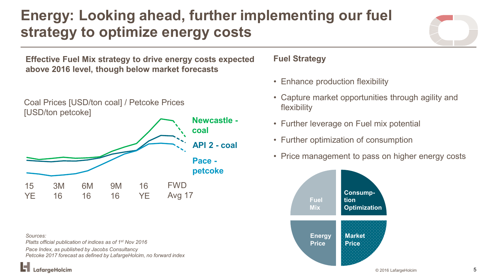# **Energy: Looking ahead, further implementing our fuel strategy to optimize energy costs**

**Effective Fuel Mix strategy to drive energy costs expected Fuel Strategy above 2016 level, though below market forecasts**

Coal Prices [USD/ton coal] / Petcoke Prices

[USD/ton petcoke]



*Sources:* 

LafaraeHolcim

*Platts official publication of indices as of 1st Nov 2016 Pace Index, as published by Jacobs Consultancy Petcoke 2017 forecast as defined by LafargeHolcim, no forward index*

- Enhance production flexibility
- Capture market opportunities through agility and flexibility
- Further leverage on Fuel mix potential
- Further optimization of consumption
- Price management to pass on higher energy costs

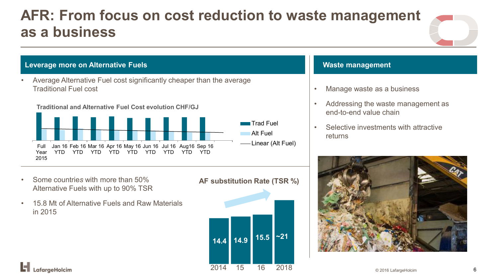### **AFR: From focus on cost reduction to waste management as a business**



#### **Leverage more on Alternative Fuels**

• Average Alternative Fuel cost significantly cheaper than the average Traditional Fuel cost





• Some countrie*s* with more than 50% Alternative Fuels with up to 90% TSR

in 2015

LafargeHolcim

• 15.8 Mt of Alternative Fuels and Raw Materials

**AF substitution Rate (TSR %)**

**14.4 14.9 15.5 ~21** 2014 15 16 2018 © 2016 LafargeHolcim <sup>6</sup>

#### **Waste management**

- Manage waste as a business
- Addressing the waste management as end-to-end value chain
- Selective investments with attractive returns

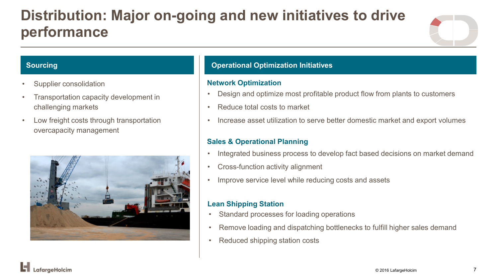# **Distribution: Major on-going and new initiatives to drive performance**



#### **Sourcing**

- Supplier consolidation
- Transportation capacity development in challenging markets
- Low freight costs through transportation overcapacity management



#### **Operational Optimization Initiatives**

#### **Network Optimization**

- Design and optimize most profitable product flow from plants to customers
- Reduce total costs to market
- Increase asset utilization to serve better domestic market and export volumes

#### **Sales & Operational Planning**

- Integrated business process to develop fact based decisions on market demand
- Cross-function activity alignment
- Improve service level while reducing costs and assets

#### **Lean Shipping Station**

- Standard processes for loading operations
- Remove loading and dispatching bottlenecks to fulfill higher sales demand
- Reduced shipping station costs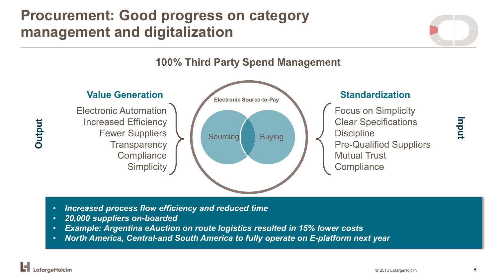### **Procurement: Good progress on category management and digitalization**



- *Increased process flow efficiency and reduced time*
- *20,000 suppliers on-boarded*
- *Example: Argentina eAuction on route logistics resulted in 15% lower costs*
- *North America, Central-and South America to fully operate on E-platform next year*

**Input**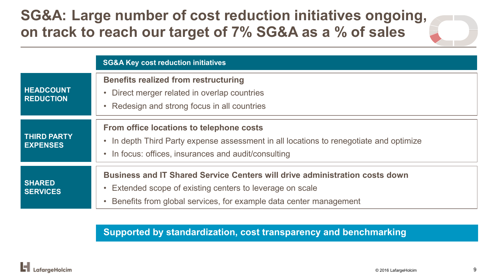### **SG&A: Large number of cost reduction initiatives ongoing, on track to reach our target of 7% SG&A as a % of sales**

|                                       | <b>SG&amp;A Key cost reduction initiatives</b>                                                                                                                                                                                  |  |  |
|---------------------------------------|---------------------------------------------------------------------------------------------------------------------------------------------------------------------------------------------------------------------------------|--|--|
| <b>HEADCOUNT</b><br><b>REDUCTION</b>  | <b>Benefits realized from restructuring</b><br>Direct merger related in overlap countries<br>$\bullet$<br>Redesign and strong focus in all countries                                                                            |  |  |
| <b>THIRD PARTY</b><br><b>EXPENSES</b> | From office locations to telephone costs<br>In depth Third Party expense assessment in all locations to renegotiate and optimize<br>$\bullet$<br>• In focus: offices, insurances and audit/consulting                           |  |  |
| <b>SHARED</b><br><b>SERVICES</b>      | <b>Business and IT Shared Service Centers will drive administration costs down</b><br>Extended scope of existing centers to leverage on scale<br>$\bullet$<br>Benefits from global services, for example data center management |  |  |

**Supported by standardization, cost transparency and benchmarking**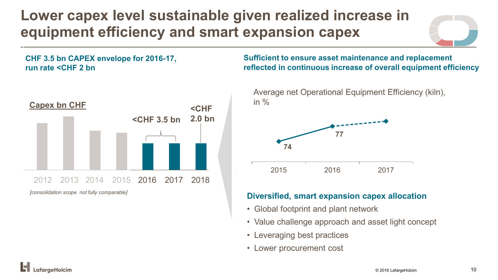# **Lower capex level sustainable given realized increase in equipment efficiency and smart expansion capex**

**CHF 3.5 bn CAPEX envelope for 2016-17, run rate <CHF 2 bn**



**Sufficient to ensure asset maintenance and replacement reflected in continuous increase of overall equipment efficiency**



#### **Diversified, smart expansion capex allocation**

- Global footprint and plant network
- Value challenge approach and asset light concept
- Leveraging best practices
- Lower procurement cost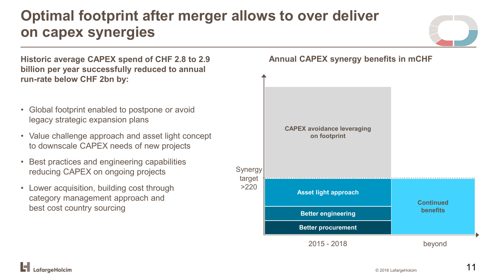# **Optimal footprint after merger allows to over deliver on capex synergies**

**Historic average CAPEX spend of CHF 2.8 to 2.9 billion per year successfully reduced to annual run-rate below CHF 2bn by:** • Global footprint enabled to postpone or avoid legacy strategic expansion plans • Value challenge approach and asset light concept to downscale CAPEX needs of new projects

- Best practices and engineering capabilities reducing CAPEX on ongoing projects
- Lower acquisition, building cost through category management approach and best cost country sourcing

**Annual CAPEX synergy benefits in mCHF**





faraeHolcim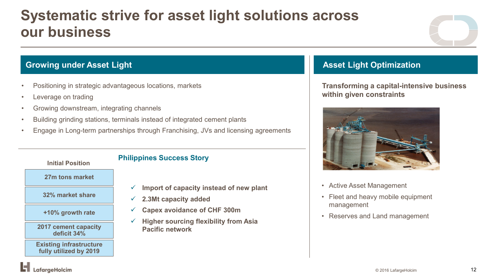### **Systematic strive for asset light solutions across our business**

#### **Growing under Asset Light**

- Positioning in strategic advantageous locations, markets
- Leverage on trading

.afaraeHolcim

- Growing downstream, integrating channels
- Building grinding stations, terminals instead of integrated cement plants
- Engage in Long-term partnerships through Franchising, JVs and licensing agreements



- **Import of capacity instead of new plant**
- **2.3Mt capacity added**
- **Capex avoidance of CHF 300m**
- **Higher sourcing flexibility from Asia Pacific network**

### **Asset Light Optimization**

**Transforming a capital-intensive business within given constraints**



- Active Asset Management
- Fleet and heavy mobile equipment management
- Reserves and Land management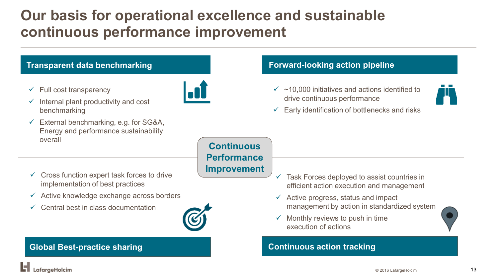### **Our basis for operational excellence and sustainable continuous performance improvement**